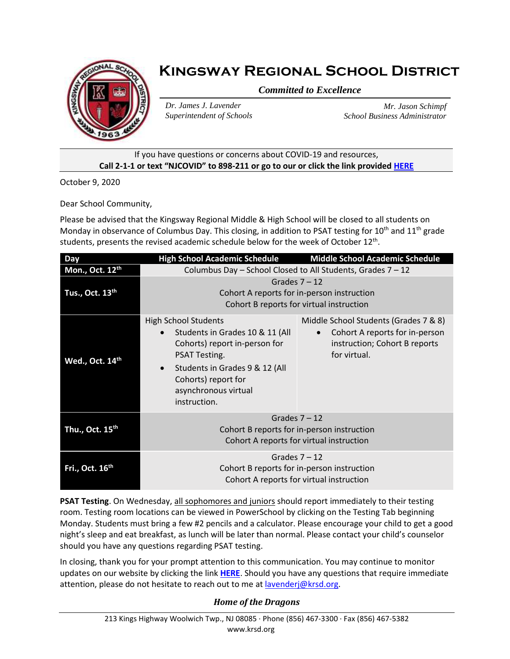

# **Kingsway Regional School District**

*Committed to Excellence*

*Dr. James J. Lavender Superintendent of Schools*

*Mr. Jason Schimpf School Business Administrator*

### If you have questions or concerns about COVID-19 and resources, **Call 2-1-1 or text "NJCOVID" to 898-211 or go to our or click the link provided [HERE](https://www.nj.gov/dcf/news/Hotlines&Helplines-COVID.pdf)**

October 9, 2020

Dear School Community,

Please be advised that the Kingsway Regional Middle & High School will be closed to all students on Monday in observance of Columbus Day. This closing, in addition to PSAT testing for  $10^{th}$  and  $11^{th}$  grade students, presents the revised academic schedule below for the week of October 12<sup>th</sup>.

| <b>Day</b>                  | <b>High School Academic Schedule</b>                                                                                                                                                                                                        | <b>Middle School Academic Schedule</b>                                                                                   |
|-----------------------------|---------------------------------------------------------------------------------------------------------------------------------------------------------------------------------------------------------------------------------------------|--------------------------------------------------------------------------------------------------------------------------|
| Mon., Oct. 12th             | Columbus Day - School Closed to All Students, Grades 7 - 12                                                                                                                                                                                 |                                                                                                                          |
| Tus., Oct. 13 <sup>th</sup> | Grades $7 - 12$<br>Cohort A reports for in-person instruction<br>Cohort B reports for virtual instruction                                                                                                                                   |                                                                                                                          |
| Wed., Oct. 14th             | <b>High School Students</b><br>Students in Grades 10 & 11 (All<br>$\bullet$<br>Cohorts) report in-person for<br>PSAT Testing.<br>Students in Grades 9 & 12 (All<br>$\bullet$<br>Cohorts) report for<br>asynchronous virtual<br>instruction. | Middle School Students (Grades 7 & 8)<br>Cohort A reports for in-person<br>instruction; Cohort B reports<br>for virtual. |
| Thu., Oct. 15 <sup>th</sup> | Grades $7 - 12$<br>Cohort B reports for in-person instruction<br>Cohort A reports for virtual instruction                                                                                                                                   |                                                                                                                          |
| Fri., Oct. 16 <sup>th</sup> | Grades $7 - 12$<br>Cohort B reports for in-person instruction<br>Cohort A reports for virtual instruction                                                                                                                                   |                                                                                                                          |

**PSAT Testing**. On Wednesday, all sophomores and juniors should report immediately to their testing room. Testing room locations can be viewed in PowerSchool by clicking on the Testing Tab beginning Monday. Students must bring a few #2 pencils and a calculator. Please encourage your child to get a good night's sleep and eat breakfast, as lunch will be later than normal. Please contact your child's counselor should you have any questions regarding PSAT testing.

In closing, thank you for your prompt attention to this communication. You may continue to monitor updates on our website by clicking the link **[HERE](https://www.krsd.org/Page/1680)**. Should you have any questions that require immediate attention, please do not hesitate to reach out to me at [lavenderj@krsd.org.](mailto:lavenderj@krsd.org)

## *Home of the Dragons*